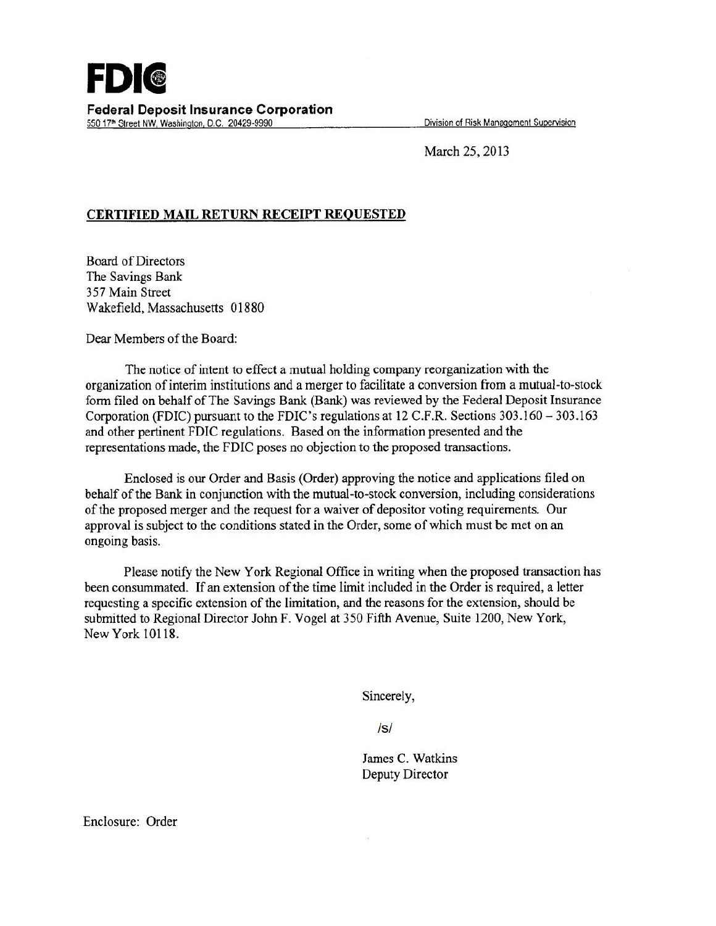March 25, 2013

## **CERTIFIED MAIL RETURN RECEIPT REQUESTED**

Board of Directors The Savings Bank 357 Main Street Wakefield, Massachusetts 01880

Dear Members of the Board:

The notice of intent to effect a mutual holding company reorganization with the organization of interim institutions and a merger to facilitate a conversion from a mutual-to-stock form filed on behalf of The Savings Bank (Bank) was reviewed by the Federal Deposit Insurance Corporation (FDIC) pursuant to the FDIC's regulations at 12 C.F.R. Sections 303.160-303.163 and other pertinent FDIC regulations. Based on the information presented and the representations made, the FDIC poses no objection to the proposed transactions.

Enclosed is our Order and Basis (Order) approving the notice and applications filed on behalf of the Bank in conjunction with the mutual-to-stock conversion, including considerations of the proposed merger and the request for a waiver of depositor voting requirements. Our approval is subject to the conditions stated in the Order, some of which must be met on an ongoing basis.

Please notify the New York Regional Office in writing when the proposed transaction has been consummated. If an extension of the time limit included in the Order is required, a letter requesting a specific extension of the limitation, and the reasons for the extension, should be submitted to Regional Director John F. Vogel at 350 Fifth Avenue, Suite 1200, New York, New York 101 18.

Sincerely,

/s/

James C. Watkins Deputy Director

Enclosure: Order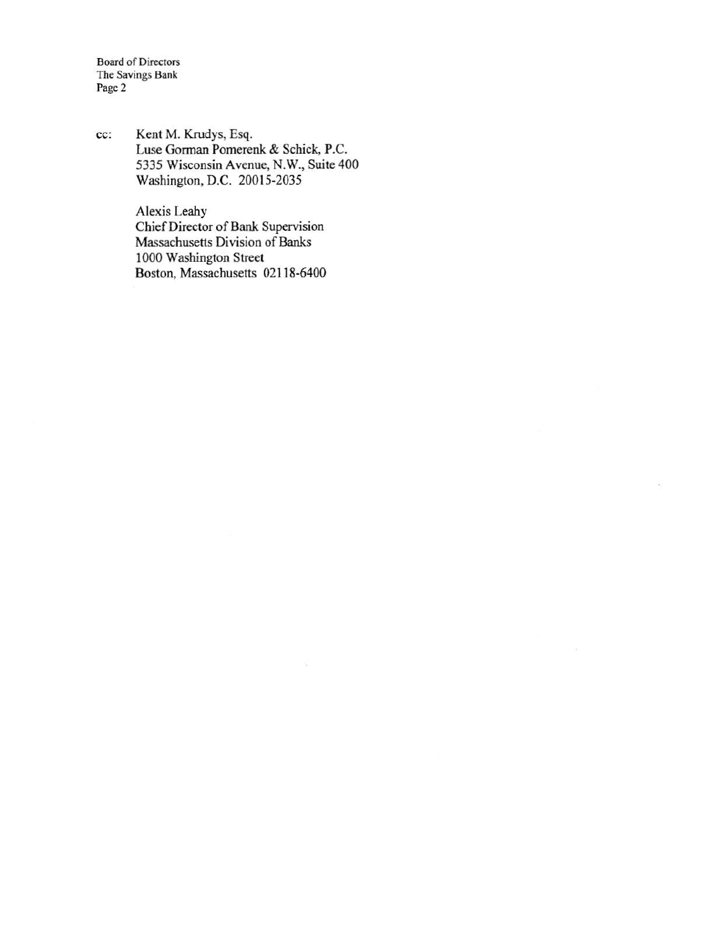Board of Directors The Savings Bank Page 2

cc: Kent M. Krudys, Esq. Luse Gorman Pomerenk & Schick, P.C. 5335 Wisconsin Avenue, N.W., Suite 400 Washington, D.C. 20015-2035

> Alexis Leahy Chief Director of Bank Supervision Massachusetts Division of Banks 1000 Washington Street Boston, Massachusetts 02118-6400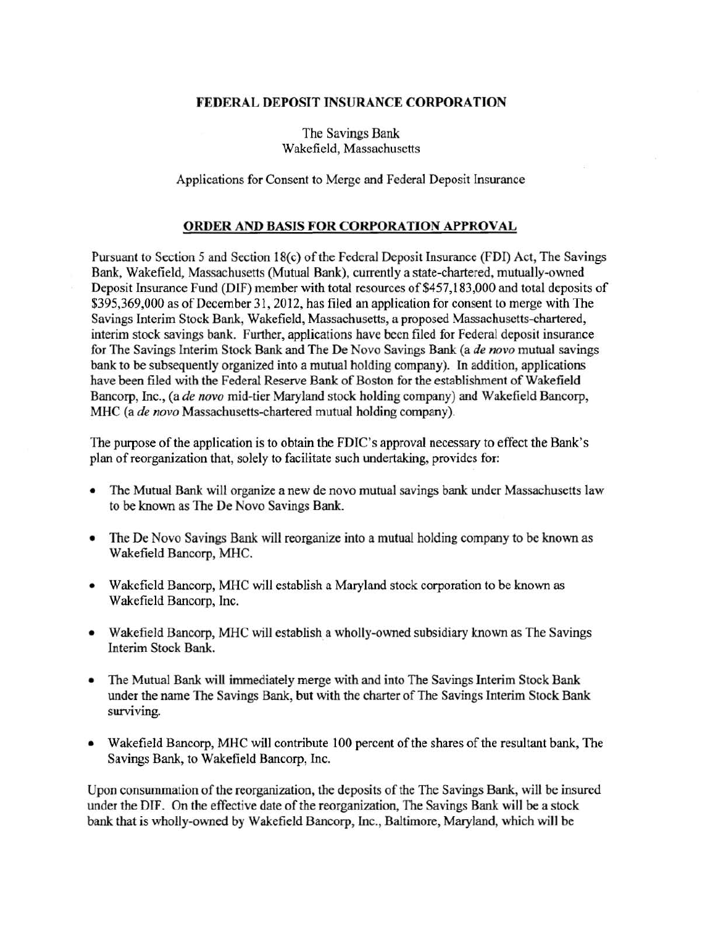## FEDERAL DEPOSIT INSURANCE CORPORATION

The Savings Bank Wakefield, Massachusetts

Applications for Consent to Merge and Federal Deposit Insurance

## ORDER AND BASIS FOR CORPORATION APPROVAL

Pursuant to Section *5* and Section 18(c) of the Federal Deposit Insurance (FDI) Act, The Savings Bank, Wakefield, Massachusetts (Mutual Bank), currently a state-chartered, mutually-owned Deposit Insurance Fund (DIF) member with total resources of \$457,183,000 and total deposits of \$395,369,000 as of December 31,2012, has filed an application for consent to merge with The Savings Interim Stock Bank, Wakefield, Massachusetts, a proposed Massachusetts-chartered, interim stock savings bank. Further, applications have been filed for Federal deposit insurance for The Savings Interim Stock Bank and The De Novo Savings Bank (a *de novo* mutual savings bank to be subsequently organized into a mutual holding company). In addition, applications have been filed with the Federal Reserve Bank of Boston for the establishment of Wakefield Bancorp, Inc., (a *de novo* mid-tier Maryland stock holding company) and Wakefield Bancorp, MHC (a *de novo* Massachusetts-chartered mutual holding company).

The purpose of the application is to obtain the FDIC's approval necessary to effect the Bank's plan of reorganization that, solely to facilitate such undertaking, provides for:

- The Mutual Bank will organize a new de novo mutual savings bank under Massachusetts law to be known as The De Novo Savings Bank.
- The De Novo Savings Bank will reorganize into a mutual holding company to be known as Wakefield Bancorp, MHC.
- Wakefield Bancorp, MHC will establish a Maryland stock corporation to be known as Wakefield Bancorp, Inc.
- Wakefield Bancorp, MHC will establish a wholly-owned subsidiary known as The Savings Interim Stock Bank.
- The Mutual Bank will immediately merge with and into The Savings Interim Stock Bank under the name The Savings Bank, but with the charter of The Savings Interim Stock Bank surviving.
- Wakefield Bancorp, MHC will contribute 100 percent of the shares of the resultant bank, The Savings Bank, to Wakefield Bancorp, Inc.

Upon consummation of the reorganization, the deposits of the The Savings Bank, will be insured under the DIF. On the effective date of the reorganization, The Savings Bank will be a stock bank that is wholly-owned by Wakefield Bancorp, Inc., Baltimore, Maryland, which will be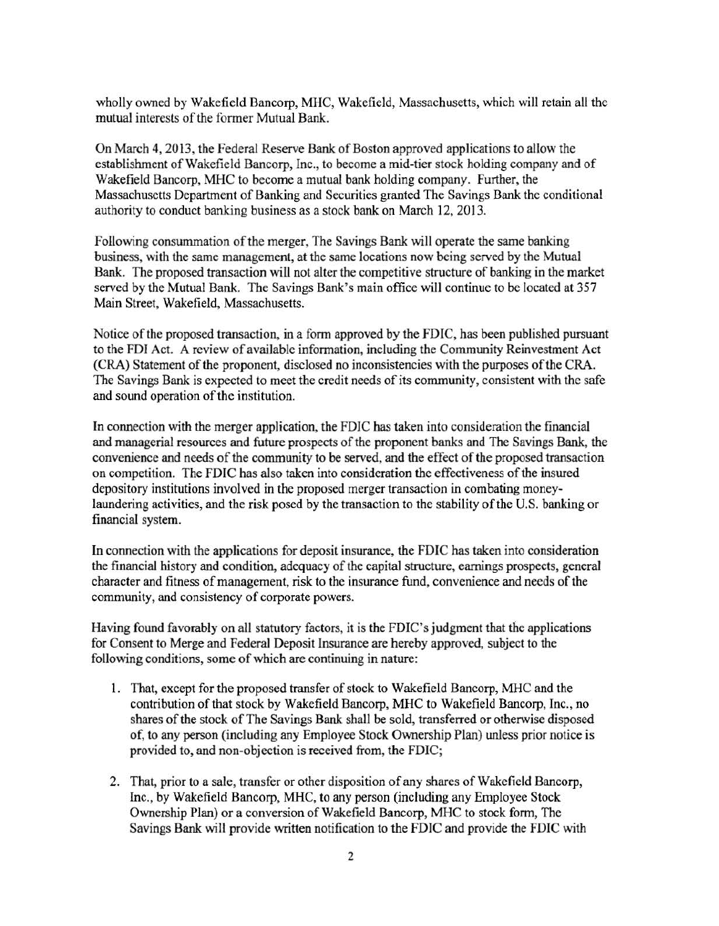wholly owned by Wakefield Bancorp, MHC, Wakefield, Massachusetts, which will retain all the mutual interests of the former Mutual Bank.

On March 4, 2013, the Federal Reserve Bank of Boston approved applications to allow the establishment of Wakefield Bancorp, Inc., to become a mid-tier stock holding company and of Wakefield Bancorp, MHC to become a mutual bank holding company. Further, the Massachusetts Department of Banking and Securities granted The Savings Bank the conditional authority to conduct banking business as a stock bank on March 12,2013.

Following consummation of the merger, The Savings Bank will operate the same banking business, with the same management, at the same locations now being served by the Mutual Bank. The proposed transaction will not alter the competitive structure of banking in the market served by the Mutual Bank. The Savings Bank's main office will continue to be located at 357 Main Street, Wakefield, Massachusetts.

Notice of the proposed transaction, in a form approved by the FDIC, has been published pursuant to the FDI Act. A review of available information, including the Community Reinvestment Act (CRA) Statement of the proponent, disclosed no inconsistencies with the purposes of the CRA. The Savings Bank is expected to meet the credit needs of its community, consistent with the safe and sound operation of the institution.

In connection with the merger application, the FDIC has taken into consideration the financial and managerial resources and future prospects of the proponent banks and The Savings Bank, the convenience and needs of the community to be served, and the effect of the proposed transaction on competition. The FDIC has also taken into consideration the effectiveness of the insured depository institutions involved in the proposed merger transaction in combating moneylaundering activities, and the risk posed by the transaction to the stability of the U.S. banking or financial system.

In connection with the applications for deposit insurance, the FDIC has taken into consideration the financial history and condition, adequacy of the capital structure, earnings prospects, general character and fitness of management, risk to the insurance fund, convenience and needs of the community, and consistency of corporate powers.

Having found favorably on all statutory factors, it is the FDIC's judgment that the applications for Consent to Merge and Federal Deposit Insurance are hereby approved, subject to the following conditions, some of which are continuing in nature:

- 1. That, except for the proposed transfer of stock to Wakefield Bancorp, MHC and the contribution of that stock by Wakefield Bancorp, MHC to Wakefield Bancorp, Inc., no shares of the stock of The Savings Bank shall be sold, transferred or otherwise disposed of, to any person (including any Employee Stock Ownership Plan) unless prior notice is provided to, and non-objection is received from, the FDIC;
- 2. That, prior to a sale, transfer or other disposition of any shares of Wakefield Bancorp, Inc., by Wakefield Bancorp, MHC, to any person (including any Employee Stock Ownership Plan) or a conversion of Wakefield Bancorp, MHC to stock form, The Savings Bank will provide written notification to the FDIC and provide the FDIC with